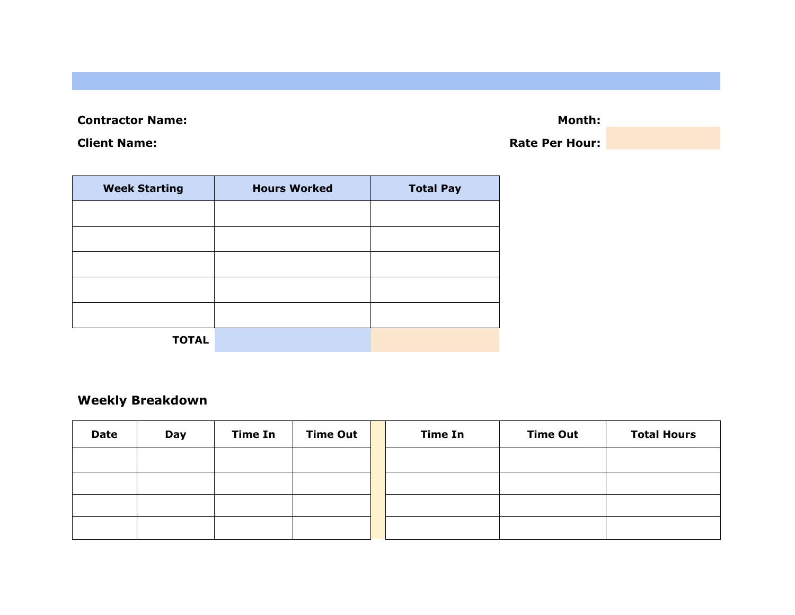**Contractor Name: Month: Month: Month: Month: Month: Month: Month: Month: Month: Month: Month: Month: Month: Month: Month: Month: Month: Month: Month: Month: Month: Month: Mont** 

**Client Name: Rate Per Hour: Rate Per Hour: Rate Per Hour:** 

| <b>Week Starting</b> | <b>Hours Worked</b> | <b>Total Pay</b> |
|----------------------|---------------------|------------------|
|                      |                     |                  |
|                      |                     |                  |
|                      |                     |                  |
|                      |                     |                  |
|                      |                     |                  |
| <b>TOTAL</b>         |                     |                  |

## **Weekly Breakdown**

| <b>Date</b> | Day | <b>Time In</b> | <b>Time Out</b> | <b>Time In</b> | <b>Time Out</b> | <b>Total Hours</b> |
|-------------|-----|----------------|-----------------|----------------|-----------------|--------------------|
|             |     |                |                 |                |                 |                    |
|             |     |                |                 |                |                 |                    |
|             |     |                |                 |                |                 |                    |
|             |     |                |                 |                |                 |                    |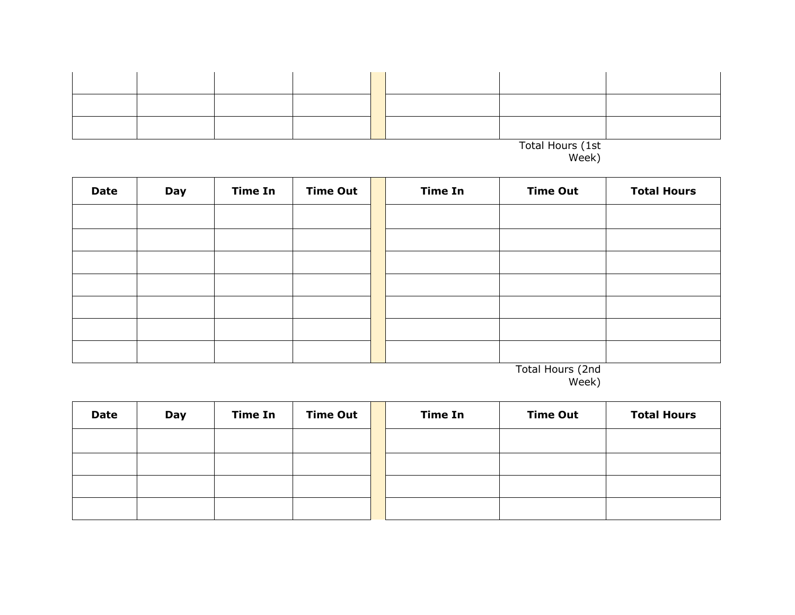| Total Hours (1st |  |  |  |  |  |  |  |
|------------------|--|--|--|--|--|--|--|

| <b>Date</b> | Day | <b>Time In</b> | <b>Time Out</b> | <b>Time In</b> | <b>Time Out</b> | <b>Total Hours</b> |
|-------------|-----|----------------|-----------------|----------------|-----------------|--------------------|
|             |     |                |                 |                |                 |                    |
|             |     |                |                 |                |                 |                    |
|             |     |                |                 |                |                 |                    |
|             |     |                |                 |                |                 |                    |
|             |     |                |                 |                |                 |                    |
|             |     |                |                 |                |                 |                    |
|             |     |                |                 |                |                 |                    |

Total Hours (2nd Week)

| <b>Date</b> | Day | <b>Time In</b> | <b>Time Out</b> | <b>Time In</b> | <b>Time Out</b> | <b>Total Hours</b> |
|-------------|-----|----------------|-----------------|----------------|-----------------|--------------------|
|             |     |                |                 |                |                 |                    |
|             |     |                |                 |                |                 |                    |
|             |     |                |                 |                |                 |                    |
|             |     |                |                 |                |                 |                    |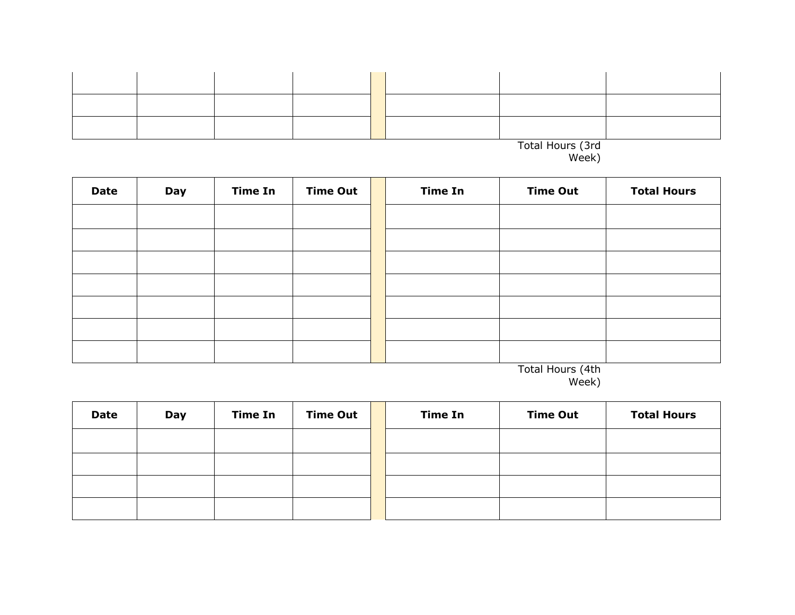| Total Hours (3rd<br>Week) |  |  |  |  |  |  |  |
|---------------------------|--|--|--|--|--|--|--|

| <b>Date</b> | Day | <b>Time In</b> | <b>Time Out</b> | <b>Time In</b> | <b>Time Out</b> | <b>Total Hours</b> |
|-------------|-----|----------------|-----------------|----------------|-----------------|--------------------|
|             |     |                |                 |                |                 |                    |
|             |     |                |                 |                |                 |                    |
|             |     |                |                 |                |                 |                    |
|             |     |                |                 |                |                 |                    |
|             |     |                |                 |                |                 |                    |
|             |     |                |                 |                |                 |                    |
|             |     |                |                 |                |                 |                    |

Total Hours (4th Week)

| <b>Date</b> | Day | <b>Time In</b> | <b>Time Out</b> | <b>Time In</b> | <b>Time Out</b> | <b>Total Hours</b> |
|-------------|-----|----------------|-----------------|----------------|-----------------|--------------------|
|             |     |                |                 |                |                 |                    |
|             |     |                |                 |                |                 |                    |
|             |     |                |                 |                |                 |                    |
|             |     |                |                 |                |                 |                    |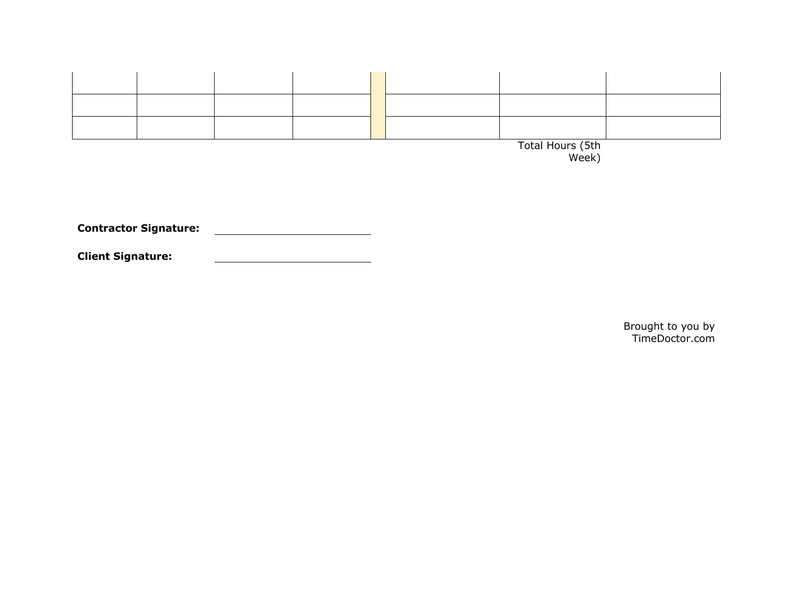

**Contractor Signature:** 

**Client Signature:**

Brought to you by TimeDoctor.com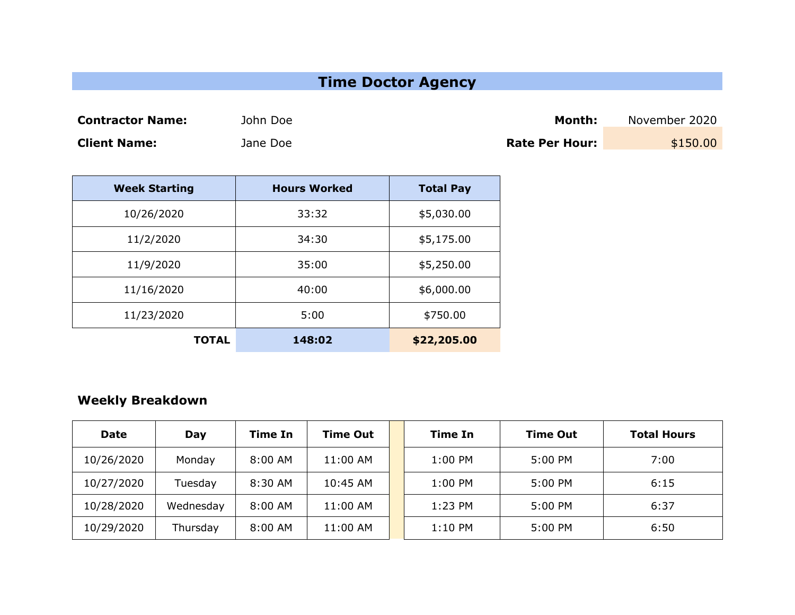## **Time Doctor Agency**

**Contractor Name:** John Doe **Month:** November 2020

**Client Name: Client Name:** Jane Doe **Rate Per Hour:** \$150.00

| <b>Week Starting</b> | <b>Hours Worked</b> | <b>Total Pay</b> |
|----------------------|---------------------|------------------|
| 10/26/2020           | 33:32               | \$5,030.00       |
| 11/2/2020            | 34:30               | \$5,175.00       |
| 11/9/2020            | 35:00               | \$5,250.00       |
| 11/16/2020           | 40:00               | \$6,000.00       |
| 11/23/2020           | 5:00                | \$750.00         |
| TOTAL                | 148:02              | \$22,205.00      |

## **Weekly Breakdown**

| <b>Date</b> | Day       | <b>Time In</b> | <b>Time Out</b> | Time In   | <b>Time Out</b> | <b>Total Hours</b> |
|-------------|-----------|----------------|-----------------|-----------|-----------------|--------------------|
| 10/26/2020  | Monday    | $8:00$ AM      | 11:00 AM        | 1:00 PM   | 5:00 PM         | 7:00               |
| 10/27/2020  | Tuesday   | 8:30 AM        | 10:45 AM        | 1:00 PM   | 5:00 PM         | 6:15               |
| 10/28/2020  | Wednesday | $8:00$ AM      | 11:00 AM        | 1:23 PM   | 5:00 PM         | 6:37               |
| 10/29/2020  | Thursday  | $8:00$ AM      | 11:00 AM        | $1:10$ PM | 5:00 PM         | 6:50               |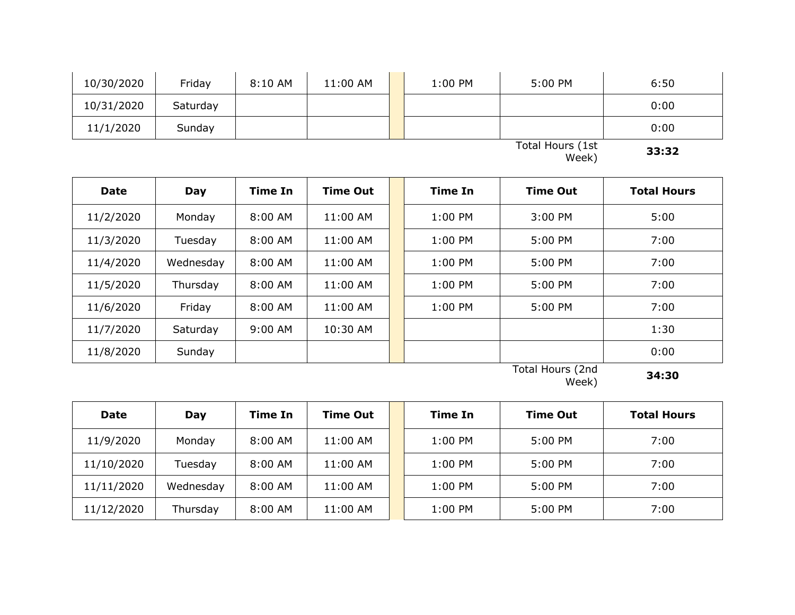| 10/30/2020 | Friday   | 8:10 AM | 11:00 AM | 1:00 PM | 5:00 PM          | 6:50  |
|------------|----------|---------|----------|---------|------------------|-------|
| 10/31/2020 | Saturday |         |          |         |                  | 0:00  |
| 11/1/2020  | Sunday   |         |          |         |                  | 0:00  |
|            |          |         |          |         | Total Hours (1st | スス・スフ |

Week) **33:32**

| <b>Date</b> | Day       | <b>Time In</b> | <b>Time Out</b> | <b>Time In</b> | <b>Time Out</b> | <b>Total Hours</b> |
|-------------|-----------|----------------|-----------------|----------------|-----------------|--------------------|
| 11/2/2020   | Monday    | 8:00 AM        | 11:00 AM        | 1:00 PM        | 3:00 PM         | 5:00               |
| 11/3/2020   | Tuesday   | 8:00 AM        | 11:00 AM        | $1:00$ PM      | 5:00 PM         | 7:00               |
| 11/4/2020   | Wednesday | 8:00 AM        | 11:00 AM        | 1:00 PM        | 5:00 PM         | 7:00               |
| 11/5/2020   | Thursday  | $8:00$ AM      | 11:00 AM        | $1:00$ PM      | 5:00 PM         | 7:00               |
| 11/6/2020   | Friday    | 8:00 AM        | 11:00 AM        | 1:00 PM        | 5:00 PM         | 7:00               |
| 11/7/2020   | Saturday  | 9:00 AM        | 10:30 AM        |                |                 | 1:30               |
| 11/8/2020   | Sunday    |                |                 |                |                 | 0:00               |

Total Hours (2nd Week) **34:30**

| <b>Date</b> | Day       | Time In   | <b>Time Out</b> | Time In   | <b>Time Out</b> | <b>Total Hours</b> |
|-------------|-----------|-----------|-----------------|-----------|-----------------|--------------------|
| 11/9/2020   | Monday    | $8:00$ AM | 11:00 AM        | 1:00 PM   | 5:00 PM         | 7:00               |
| 11/10/2020  | Tuesday   | $8:00$ AM | 11:00 AM        | $1:00$ PM | 5:00 PM         | 7:00               |
| 11/11/2020  | Wednesday | 8:00 AM   | 11:00 AM        | $1:00$ PM | 5:00 PM         | 7:00               |
| 11/12/2020  | Thursday  | $8:00$ AM | 11:00 AM        | $1:00$ PM | 5:00 PM         | 7:00               |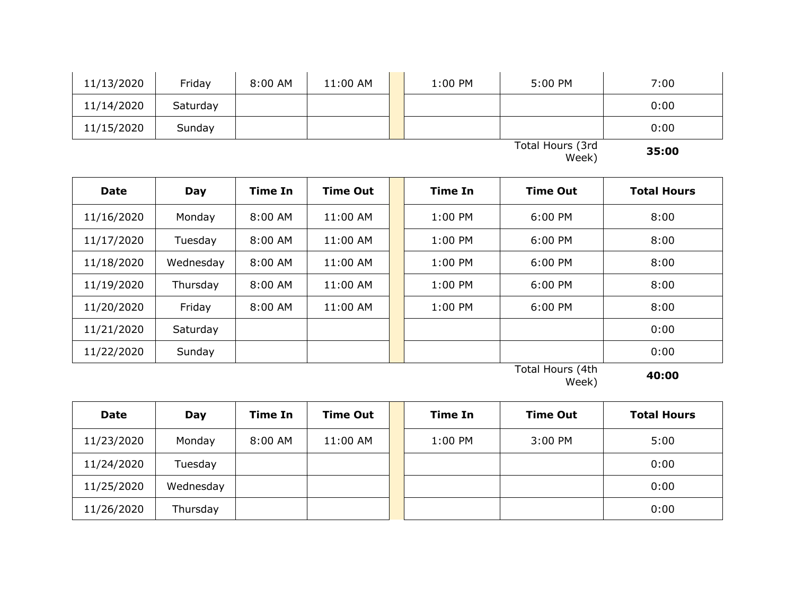| 11/13/2020 | Friday   | 8:00 AM | 11:00 AM | 1:00 PM | 5:00 PM          | 7:00         |
|------------|----------|---------|----------|---------|------------------|--------------|
| 11/14/2020 | Saturday |         |          |         |                  | 0:00         |
| 11/15/2020 | Sunday   |         |          |         |                  | 0:00         |
|            |          |         |          |         | Total Hours (3rd | <b>35.UV</b> |

Week) **35:00**

| <b>Date</b> | Day       | Time In   | <b>Time Out</b> | Time In   | <b>Time Out</b> | <b>Total Hours</b> |
|-------------|-----------|-----------|-----------------|-----------|-----------------|--------------------|
| 11/16/2020  | Monday    | $8:00$ AM | $11:00$ AM      | $1:00$ PM | 6:00 PM         | 8:00               |
| 11/17/2020  | Tuesday   | 8:00 AM   | 11:00 AM        | $1:00$ PM | $6:00$ PM       | 8:00               |
| 11/18/2020  | Wednesday | 8:00 AM   | 11:00 AM        | $1:00$ PM | 6:00 PM         | 8:00               |
| 11/19/2020  | Thursday  | 8:00 AM   | 11:00 AM        | $1:00$ PM | 6:00 PM         | 8:00               |
| 11/20/2020  | Friday    | 8:00 AM   | 11:00 AM        | $1:00$ PM | 6:00 PM         | 8:00               |
| 11/21/2020  | Saturday  |           |                 |           |                 | 0:00               |
| 11/22/2020  | Sunday    |           |                 |           |                 | 0:00               |

Total Hours (4th Week) **40:00**

| <b>Date</b> | Day       | <b>Time In</b> | <b>Time Out</b> | <b>Time In</b> | <b>Time Out</b> | <b>Total Hours</b> |
|-------------|-----------|----------------|-----------------|----------------|-----------------|--------------------|
| 11/23/2020  | Monday    | 8:00 AM        | 11:00 AM        | 1:00 PM        | 3:00 PM         | 5:00               |
| 11/24/2020  | Tuesday   |                |                 |                |                 | 0:00               |
| 11/25/2020  | Wednesday |                |                 |                |                 | 0:00               |
| 11/26/2020  | Thursday  |                |                 |                |                 | 0:00               |